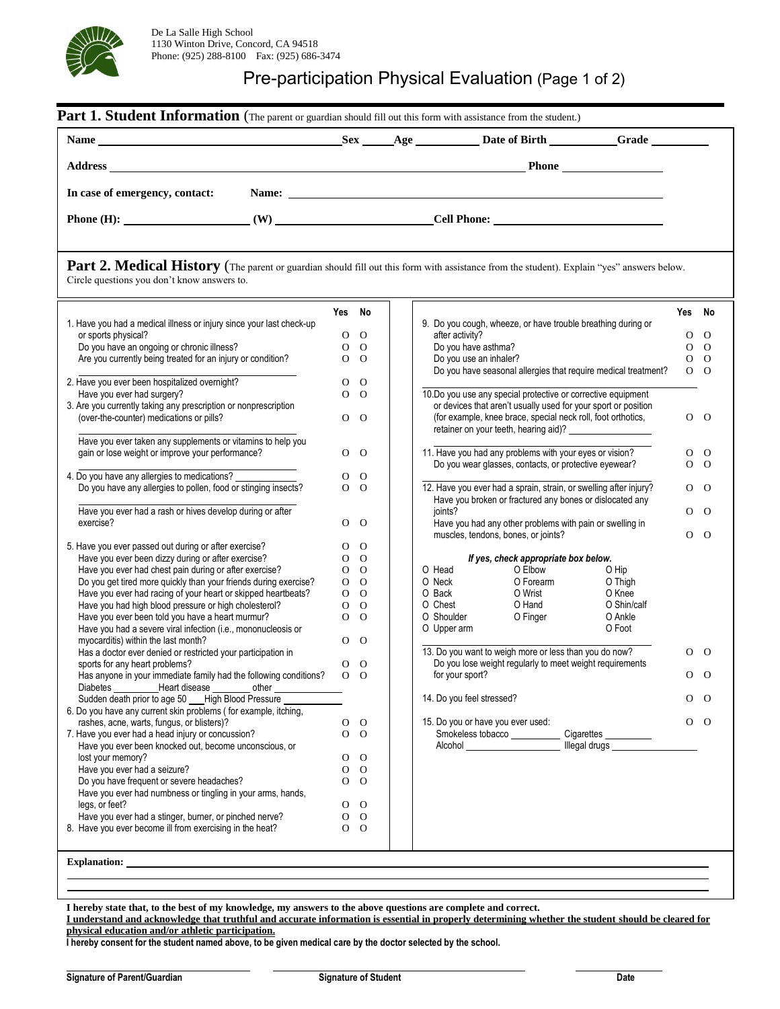

## Pre-participation Physical Evaluation (Page 1 of 2)

| Name: <u>the contract of the contract of the contract of the contract of the contract of the contract of the contract of the contract of the contract of the contract of the contract of the contract of the contract of the con</u><br>In case of emergency, contact:<br>Phone $(H)$ : $\qquad \qquad (W)$ $\qquad \qquad$ Cell Phone: $\qquad \qquad$<br>Part 2. Medical History (The parent or guardian should fill out this form with assistance from the student). Explain "yes" answers below.<br>Circle questions you don't know answers to.<br>Yes No<br>Yes No<br>9. Do you cough, wheeze, or have trouble breathing during or<br>1. Have you had a medical illness or injury since your last check-up<br>$\Omega$<br>$\mathbf{O}$<br>after activity?<br>$\mathbf{O}$<br>or sports physical?<br>Do you have an ongoing or chronic illness?<br>Do you have asthma?<br>$\overline{O}$<br>$\overline{O}$<br>$0\quad$<br>Are you currently being treated for an injury or condition?<br>Do you use an inhaler?<br>$0\quad$<br>$0\quad$<br>Do you have seasonal allergies that require medical treatment?<br>$O$ $O$<br>2. Have you ever been hospitalized overnight?<br>$\mathbf{O}$<br>$\Omega$<br>$\overline{O}$<br>10.Do you use any special protective or corrective equipment<br>Have you ever had surgery?<br>$\Omega$<br>3. Are you currently taking any prescription or nonprescription<br>or devices that aren't usually used for your sport or position<br>(over-the-counter) medications or pills?<br>(for example, knee brace, special neck roll, foot orthotics,<br>$\mathbf{O}$<br>$0\quad$<br>$\circ$<br>retainer on your teeth, hearing aid)? ______________________<br>Have you ever taken any supplements or vitamins to help you<br>11. Have you had any problems with your eyes or vision?<br>gain or lose weight or improve your performance?<br>$\Omega$<br>$\overline{O}$<br>0<br>Do you wear glasses, contacts, or protective eyewear?<br>$\overline{O}$<br>$\overline{O}$<br>4. Do you have any allergies to medications?<br>O<br>$\Omega$<br>12. Have you ever had a sprain, strain, or swelling after injury?<br>Do you have any allergies to pollen, food or stinging insects?<br>$\overline{O}$<br>$\overline{O}$<br>$0\quad 0$<br>Have you broken or fractured any bones or dislocated any<br>Have you ever had a rash or hives develop during or after<br>joints?<br>$0\quad 0$<br>exercise?<br>$\Omega$<br>$\Omega$<br>Have you had any other problems with pain or swelling in<br>$\overline{O}$<br>muscles, tendons, bones, or joints?<br>5. Have you ever passed out during or after exercise?<br>$\overline{O}$<br>O<br>Have you ever been dizzy during or after exercise?<br>$O$ O<br>If yes, check appropriate box below.<br>Have you ever had chest pain during or after exercise?<br>O Elbow<br>$0\quad 0$<br>O Head<br>O Hip<br>Do you get tired more quickly than your friends during exercise?<br>O Forearm<br>$0\quad 0$<br>O Neck<br>O Thigh<br>O Wrist<br>Have you ever had racing of your heart or skipped heartbeats?<br>O Back<br>O Knee<br>$0\quad 0$<br>Have you had high blood pressure or high cholesterol?<br>O Chest<br>O Hand<br>$0\quad 0$<br>O Shin/calf<br>Have you ever been told you have a heart murmur?<br>$\overline{O}$<br>O Shoulder<br>O Finger<br>O Ankle<br>$\Omega$<br>O Foot<br>Have you had a severe viral infection (i.e., mononucleosis or<br>O Upper arm<br>$\Omega$<br>myocarditis) within the last month?<br>$\mathbf{O}$<br>13. Do you want to weigh more or less than you do now?<br>Has a doctor ever denied or restricted your participation in<br>O<br>Do you lose weight regularly to meet weight requirements<br>sports for any heart problems?<br>$\mathbf{O}$<br>$\overline{O}$<br>$\Omega$<br>for your sport?<br>Has anyone in your immediate family had the following conditions?<br>$\Omega$<br>O<br>Diabetes Heart disease other<br>Sudden death prior to age 50 ___ High Blood Pressure ________<br>14. Do you feel stressed?<br>$0\quad$<br>6. Do you have any current skin problems (for example, itching,<br>rashes, acne, warts, fungus, or blisters)?<br>15. Do you or have you ever used:<br>$0\quad 0$<br>$\overline{O}$<br>O<br>$\mathbf O$<br>7. Have you ever had a head injury or concussion?<br>$\mathbf{O}$<br>Smokeless tobacco ______________ Cigarettes __________<br>Alcohol New York Changes Negative Management Management Management Management Management Management Management<br>Have you ever been knocked out, become unconscious, or<br>lost your memory?<br>O<br>$\overline{O}$<br>Have you ever had a seizure?<br>$\overline{O}$<br>O<br>Do you have frequent or severe headaches?<br>$0\quad$<br>Have you ever had numbness or tingling in your arms, hands,<br>legs, or feet?<br>$0\quad$<br>Have you ever had a stinger, burner, or pinched nerve?<br>$0\quad 0$<br>8. Have you ever become ill from exercising in the heat?<br>$0\quad 0$<br>Explanation: Explanation: |  |  |  |  |  |                |
|--------------------------------------------------------------------------------------------------------------------------------------------------------------------------------------------------------------------------------------------------------------------------------------------------------------------------------------------------------------------------------------------------------------------------------------------------------------------------------------------------------------------------------------------------------------------------------------------------------------------------------------------------------------------------------------------------------------------------------------------------------------------------------------------------------------------------------------------------------------------------------------------------------------------------------------------------------------------------------------------------------------------------------------------------------------------------------------------------------------------------------------------------------------------------------------------------------------------------------------------------------------------------------------------------------------------------------------------------------------------------------------------------------------------------------------------------------------------------------------------------------------------------------------------------------------------------------------------------------------------------------------------------------------------------------------------------------------------------------------------------------------------------------------------------------------------------------------------------------------------------------------------------------------------------------------------------------------------------------------------------------------------------------------------------------------------------------------------------------------------------------------------------------------------------------------------------------------------------------------------------------------------------------------------------------------------------------------------------------------------------------------------------------------------------------------------------------------------------------------------------------------------------------------------------------------------------------------------------------------------------------------------------------------------------------------------------------------------------------------------------------------------------------------------------------------------------------------------------------------------------------------------------------------------------------------------------------------------------------------------------------------------------------------------------------------------------------------------------------------------------------------------------------------------------------------------------------------------------------------------------------------------------------------------------------------------------------------------------------------------------------------------------------------------------------------------------------------------------------------------------------------------------------------------------------------------------------------------------------------------------------------------------------------------------------------------------------------------------------------------------------------------------------------------------------------------------------------------------------------------------------------------------------------------------------------------------------------------------------------------------------------------------------------------------------------------------------------------------------------------------------------------------------------------------------------------------------------------------------------------------------------------------------------------------------------------------------------------------------------------------------------------------------------------------------------------------------------------------------------------------------------------------------------------------------------------------------------------------------------------------------------------------------------------------------------------------------------------------------------------------------------------------------------------------------------------------------------------------------------------------------------------------------------------------------------------------------------------------------------------------------|--|--|--|--|--|----------------|
|                                                                                                                                                                                                                                                                                                                                                                                                                                                                                                                                                                                                                                                                                                                                                                                                                                                                                                                                                                                                                                                                                                                                                                                                                                                                                                                                                                                                                                                                                                                                                                                                                                                                                                                                                                                                                                                                                                                                                                                                                                                                                                                                                                                                                                                                                                                                                                                                                                                                                                                                                                                                                                                                                                                                                                                                                                                                                                                                                                                                                                                                                                                                                                                                                                                                                                                                                                                                                                                                                                                                                                                                                                                                                                                                                                                                                                                                                                                                                                                                                                                                                                                                                                                                                                                                                                                                                                                                                                                                                                                                                                                                                                                                                                                                                                                                                                                                                                                                                                                                        |  |  |  |  |  |                |
|                                                                                                                                                                                                                                                                                                                                                                                                                                                                                                                                                                                                                                                                                                                                                                                                                                                                                                                                                                                                                                                                                                                                                                                                                                                                                                                                                                                                                                                                                                                                                                                                                                                                                                                                                                                                                                                                                                                                                                                                                                                                                                                                                                                                                                                                                                                                                                                                                                                                                                                                                                                                                                                                                                                                                                                                                                                                                                                                                                                                                                                                                                                                                                                                                                                                                                                                                                                                                                                                                                                                                                                                                                                                                                                                                                                                                                                                                                                                                                                                                                                                                                                                                                                                                                                                                                                                                                                                                                                                                                                                                                                                                                                                                                                                                                                                                                                                                                                                                                                                        |  |  |  |  |  |                |
|                                                                                                                                                                                                                                                                                                                                                                                                                                                                                                                                                                                                                                                                                                                                                                                                                                                                                                                                                                                                                                                                                                                                                                                                                                                                                                                                                                                                                                                                                                                                                                                                                                                                                                                                                                                                                                                                                                                                                                                                                                                                                                                                                                                                                                                                                                                                                                                                                                                                                                                                                                                                                                                                                                                                                                                                                                                                                                                                                                                                                                                                                                                                                                                                                                                                                                                                                                                                                                                                                                                                                                                                                                                                                                                                                                                                                                                                                                                                                                                                                                                                                                                                                                                                                                                                                                                                                                                                                                                                                                                                                                                                                                                                                                                                                                                                                                                                                                                                                                                                        |  |  |  |  |  |                |
|                                                                                                                                                                                                                                                                                                                                                                                                                                                                                                                                                                                                                                                                                                                                                                                                                                                                                                                                                                                                                                                                                                                                                                                                                                                                                                                                                                                                                                                                                                                                                                                                                                                                                                                                                                                                                                                                                                                                                                                                                                                                                                                                                                                                                                                                                                                                                                                                                                                                                                                                                                                                                                                                                                                                                                                                                                                                                                                                                                                                                                                                                                                                                                                                                                                                                                                                                                                                                                                                                                                                                                                                                                                                                                                                                                                                                                                                                                                                                                                                                                                                                                                                                                                                                                                                                                                                                                                                                                                                                                                                                                                                                                                                                                                                                                                                                                                                                                                                                                                                        |  |  |  |  |  |                |
|                                                                                                                                                                                                                                                                                                                                                                                                                                                                                                                                                                                                                                                                                                                                                                                                                                                                                                                                                                                                                                                                                                                                                                                                                                                                                                                                                                                                                                                                                                                                                                                                                                                                                                                                                                                                                                                                                                                                                                                                                                                                                                                                                                                                                                                                                                                                                                                                                                                                                                                                                                                                                                                                                                                                                                                                                                                                                                                                                                                                                                                                                                                                                                                                                                                                                                                                                                                                                                                                                                                                                                                                                                                                                                                                                                                                                                                                                                                                                                                                                                                                                                                                                                                                                                                                                                                                                                                                                                                                                                                                                                                                                                                                                                                                                                                                                                                                                                                                                                                                        |  |  |  |  |  |                |
|                                                                                                                                                                                                                                                                                                                                                                                                                                                                                                                                                                                                                                                                                                                                                                                                                                                                                                                                                                                                                                                                                                                                                                                                                                                                                                                                                                                                                                                                                                                                                                                                                                                                                                                                                                                                                                                                                                                                                                                                                                                                                                                                                                                                                                                                                                                                                                                                                                                                                                                                                                                                                                                                                                                                                                                                                                                                                                                                                                                                                                                                                                                                                                                                                                                                                                                                                                                                                                                                                                                                                                                                                                                                                                                                                                                                                                                                                                                                                                                                                                                                                                                                                                                                                                                                                                                                                                                                                                                                                                                                                                                                                                                                                                                                                                                                                                                                                                                                                                                                        |  |  |  |  |  |                |
|                                                                                                                                                                                                                                                                                                                                                                                                                                                                                                                                                                                                                                                                                                                                                                                                                                                                                                                                                                                                                                                                                                                                                                                                                                                                                                                                                                                                                                                                                                                                                                                                                                                                                                                                                                                                                                                                                                                                                                                                                                                                                                                                                                                                                                                                                                                                                                                                                                                                                                                                                                                                                                                                                                                                                                                                                                                                                                                                                                                                                                                                                                                                                                                                                                                                                                                                                                                                                                                                                                                                                                                                                                                                                                                                                                                                                                                                                                                                                                                                                                                                                                                                                                                                                                                                                                                                                                                                                                                                                                                                                                                                                                                                                                                                                                                                                                                                                                                                                                                                        |  |  |  |  |  | $\overline{O}$ |
|                                                                                                                                                                                                                                                                                                                                                                                                                                                                                                                                                                                                                                                                                                                                                                                                                                                                                                                                                                                                                                                                                                                                                                                                                                                                                                                                                                                                                                                                                                                                                                                                                                                                                                                                                                                                                                                                                                                                                                                                                                                                                                                                                                                                                                                                                                                                                                                                                                                                                                                                                                                                                                                                                                                                                                                                                                                                                                                                                                                                                                                                                                                                                                                                                                                                                                                                                                                                                                                                                                                                                                                                                                                                                                                                                                                                                                                                                                                                                                                                                                                                                                                                                                                                                                                                                                                                                                                                                                                                                                                                                                                                                                                                                                                                                                                                                                                                                                                                                                                                        |  |  |  |  |  |                |
|                                                                                                                                                                                                                                                                                                                                                                                                                                                                                                                                                                                                                                                                                                                                                                                                                                                                                                                                                                                                                                                                                                                                                                                                                                                                                                                                                                                                                                                                                                                                                                                                                                                                                                                                                                                                                                                                                                                                                                                                                                                                                                                                                                                                                                                                                                                                                                                                                                                                                                                                                                                                                                                                                                                                                                                                                                                                                                                                                                                                                                                                                                                                                                                                                                                                                                                                                                                                                                                                                                                                                                                                                                                                                                                                                                                                                                                                                                                                                                                                                                                                                                                                                                                                                                                                                                                                                                                                                                                                                                                                                                                                                                                                                                                                                                                                                                                                                                                                                                                                        |  |  |  |  |  |                |
|                                                                                                                                                                                                                                                                                                                                                                                                                                                                                                                                                                                                                                                                                                                                                                                                                                                                                                                                                                                                                                                                                                                                                                                                                                                                                                                                                                                                                                                                                                                                                                                                                                                                                                                                                                                                                                                                                                                                                                                                                                                                                                                                                                                                                                                                                                                                                                                                                                                                                                                                                                                                                                                                                                                                                                                                                                                                                                                                                                                                                                                                                                                                                                                                                                                                                                                                                                                                                                                                                                                                                                                                                                                                                                                                                                                                                                                                                                                                                                                                                                                                                                                                                                                                                                                                                                                                                                                                                                                                                                                                                                                                                                                                                                                                                                                                                                                                                                                                                                                                        |  |  |  |  |  |                |
|                                                                                                                                                                                                                                                                                                                                                                                                                                                                                                                                                                                                                                                                                                                                                                                                                                                                                                                                                                                                                                                                                                                                                                                                                                                                                                                                                                                                                                                                                                                                                                                                                                                                                                                                                                                                                                                                                                                                                                                                                                                                                                                                                                                                                                                                                                                                                                                                                                                                                                                                                                                                                                                                                                                                                                                                                                                                                                                                                                                                                                                                                                                                                                                                                                                                                                                                                                                                                                                                                                                                                                                                                                                                                                                                                                                                                                                                                                                                                                                                                                                                                                                                                                                                                                                                                                                                                                                                                                                                                                                                                                                                                                                                                                                                                                                                                                                                                                                                                                                                        |  |  |  |  |  |                |
|                                                                                                                                                                                                                                                                                                                                                                                                                                                                                                                                                                                                                                                                                                                                                                                                                                                                                                                                                                                                                                                                                                                                                                                                                                                                                                                                                                                                                                                                                                                                                                                                                                                                                                                                                                                                                                                                                                                                                                                                                                                                                                                                                                                                                                                                                                                                                                                                                                                                                                                                                                                                                                                                                                                                                                                                                                                                                                                                                                                                                                                                                                                                                                                                                                                                                                                                                                                                                                                                                                                                                                                                                                                                                                                                                                                                                                                                                                                                                                                                                                                                                                                                                                                                                                                                                                                                                                                                                                                                                                                                                                                                                                                                                                                                                                                                                                                                                                                                                                                                        |  |  |  |  |  |                |
|                                                                                                                                                                                                                                                                                                                                                                                                                                                                                                                                                                                                                                                                                                                                                                                                                                                                                                                                                                                                                                                                                                                                                                                                                                                                                                                                                                                                                                                                                                                                                                                                                                                                                                                                                                                                                                                                                                                                                                                                                                                                                                                                                                                                                                                                                                                                                                                                                                                                                                                                                                                                                                                                                                                                                                                                                                                                                                                                                                                                                                                                                                                                                                                                                                                                                                                                                                                                                                                                                                                                                                                                                                                                                                                                                                                                                                                                                                                                                                                                                                                                                                                                                                                                                                                                                                                                                                                                                                                                                                                                                                                                                                                                                                                                                                                                                                                                                                                                                                                                        |  |  |  |  |  |                |
|                                                                                                                                                                                                                                                                                                                                                                                                                                                                                                                                                                                                                                                                                                                                                                                                                                                                                                                                                                                                                                                                                                                                                                                                                                                                                                                                                                                                                                                                                                                                                                                                                                                                                                                                                                                                                                                                                                                                                                                                                                                                                                                                                                                                                                                                                                                                                                                                                                                                                                                                                                                                                                                                                                                                                                                                                                                                                                                                                                                                                                                                                                                                                                                                                                                                                                                                                                                                                                                                                                                                                                                                                                                                                                                                                                                                                                                                                                                                                                                                                                                                                                                                                                                                                                                                                                                                                                                                                                                                                                                                                                                                                                                                                                                                                                                                                                                                                                                                                                                                        |  |  |  |  |  |                |
|                                                                                                                                                                                                                                                                                                                                                                                                                                                                                                                                                                                                                                                                                                                                                                                                                                                                                                                                                                                                                                                                                                                                                                                                                                                                                                                                                                                                                                                                                                                                                                                                                                                                                                                                                                                                                                                                                                                                                                                                                                                                                                                                                                                                                                                                                                                                                                                                                                                                                                                                                                                                                                                                                                                                                                                                                                                                                                                                                                                                                                                                                                                                                                                                                                                                                                                                                                                                                                                                                                                                                                                                                                                                                                                                                                                                                                                                                                                                                                                                                                                                                                                                                                                                                                                                                                                                                                                                                                                                                                                                                                                                                                                                                                                                                                                                                                                                                                                                                                                                        |  |  |  |  |  |                |
|                                                                                                                                                                                                                                                                                                                                                                                                                                                                                                                                                                                                                                                                                                                                                                                                                                                                                                                                                                                                                                                                                                                                                                                                                                                                                                                                                                                                                                                                                                                                                                                                                                                                                                                                                                                                                                                                                                                                                                                                                                                                                                                                                                                                                                                                                                                                                                                                                                                                                                                                                                                                                                                                                                                                                                                                                                                                                                                                                                                                                                                                                                                                                                                                                                                                                                                                                                                                                                                                                                                                                                                                                                                                                                                                                                                                                                                                                                                                                                                                                                                                                                                                                                                                                                                                                                                                                                                                                                                                                                                                                                                                                                                                                                                                                                                                                                                                                                                                                                                                        |  |  |  |  |  | $\overline{O}$ |
|                                                                                                                                                                                                                                                                                                                                                                                                                                                                                                                                                                                                                                                                                                                                                                                                                                                                                                                                                                                                                                                                                                                                                                                                                                                                                                                                                                                                                                                                                                                                                                                                                                                                                                                                                                                                                                                                                                                                                                                                                                                                                                                                                                                                                                                                                                                                                                                                                                                                                                                                                                                                                                                                                                                                                                                                                                                                                                                                                                                                                                                                                                                                                                                                                                                                                                                                                                                                                                                                                                                                                                                                                                                                                                                                                                                                                                                                                                                                                                                                                                                                                                                                                                                                                                                                                                                                                                                                                                                                                                                                                                                                                                                                                                                                                                                                                                                                                                                                                                                                        |  |  |  |  |  |                |
|                                                                                                                                                                                                                                                                                                                                                                                                                                                                                                                                                                                                                                                                                                                                                                                                                                                                                                                                                                                                                                                                                                                                                                                                                                                                                                                                                                                                                                                                                                                                                                                                                                                                                                                                                                                                                                                                                                                                                                                                                                                                                                                                                                                                                                                                                                                                                                                                                                                                                                                                                                                                                                                                                                                                                                                                                                                                                                                                                                                                                                                                                                                                                                                                                                                                                                                                                                                                                                                                                                                                                                                                                                                                                                                                                                                                                                                                                                                                                                                                                                                                                                                                                                                                                                                                                                                                                                                                                                                                                                                                                                                                                                                                                                                                                                                                                                                                                                                                                                                                        |  |  |  |  |  |                |
|                                                                                                                                                                                                                                                                                                                                                                                                                                                                                                                                                                                                                                                                                                                                                                                                                                                                                                                                                                                                                                                                                                                                                                                                                                                                                                                                                                                                                                                                                                                                                                                                                                                                                                                                                                                                                                                                                                                                                                                                                                                                                                                                                                                                                                                                                                                                                                                                                                                                                                                                                                                                                                                                                                                                                                                                                                                                                                                                                                                                                                                                                                                                                                                                                                                                                                                                                                                                                                                                                                                                                                                                                                                                                                                                                                                                                                                                                                                                                                                                                                                                                                                                                                                                                                                                                                                                                                                                                                                                                                                                                                                                                                                                                                                                                                                                                                                                                                                                                                                                        |  |  |  |  |  |                |
|                                                                                                                                                                                                                                                                                                                                                                                                                                                                                                                                                                                                                                                                                                                                                                                                                                                                                                                                                                                                                                                                                                                                                                                                                                                                                                                                                                                                                                                                                                                                                                                                                                                                                                                                                                                                                                                                                                                                                                                                                                                                                                                                                                                                                                                                                                                                                                                                                                                                                                                                                                                                                                                                                                                                                                                                                                                                                                                                                                                                                                                                                                                                                                                                                                                                                                                                                                                                                                                                                                                                                                                                                                                                                                                                                                                                                                                                                                                                                                                                                                                                                                                                                                                                                                                                                                                                                                                                                                                                                                                                                                                                                                                                                                                                                                                                                                                                                                                                                                                                        |  |  |  |  |  |                |
|                                                                                                                                                                                                                                                                                                                                                                                                                                                                                                                                                                                                                                                                                                                                                                                                                                                                                                                                                                                                                                                                                                                                                                                                                                                                                                                                                                                                                                                                                                                                                                                                                                                                                                                                                                                                                                                                                                                                                                                                                                                                                                                                                                                                                                                                                                                                                                                                                                                                                                                                                                                                                                                                                                                                                                                                                                                                                                                                                                                                                                                                                                                                                                                                                                                                                                                                                                                                                                                                                                                                                                                                                                                                                                                                                                                                                                                                                                                                                                                                                                                                                                                                                                                                                                                                                                                                                                                                                                                                                                                                                                                                                                                                                                                                                                                                                                                                                                                                                                                                        |  |  |  |  |  |                |
|                                                                                                                                                                                                                                                                                                                                                                                                                                                                                                                                                                                                                                                                                                                                                                                                                                                                                                                                                                                                                                                                                                                                                                                                                                                                                                                                                                                                                                                                                                                                                                                                                                                                                                                                                                                                                                                                                                                                                                                                                                                                                                                                                                                                                                                                                                                                                                                                                                                                                                                                                                                                                                                                                                                                                                                                                                                                                                                                                                                                                                                                                                                                                                                                                                                                                                                                                                                                                                                                                                                                                                                                                                                                                                                                                                                                                                                                                                                                                                                                                                                                                                                                                                                                                                                                                                                                                                                                                                                                                                                                                                                                                                                                                                                                                                                                                                                                                                                                                                                                        |  |  |  |  |  | $\overline{O}$ |
|                                                                                                                                                                                                                                                                                                                                                                                                                                                                                                                                                                                                                                                                                                                                                                                                                                                                                                                                                                                                                                                                                                                                                                                                                                                                                                                                                                                                                                                                                                                                                                                                                                                                                                                                                                                                                                                                                                                                                                                                                                                                                                                                                                                                                                                                                                                                                                                                                                                                                                                                                                                                                                                                                                                                                                                                                                                                                                                                                                                                                                                                                                                                                                                                                                                                                                                                                                                                                                                                                                                                                                                                                                                                                                                                                                                                                                                                                                                                                                                                                                                                                                                                                                                                                                                                                                                                                                                                                                                                                                                                                                                                                                                                                                                                                                                                                                                                                                                                                                                                        |  |  |  |  |  |                |
|                                                                                                                                                                                                                                                                                                                                                                                                                                                                                                                                                                                                                                                                                                                                                                                                                                                                                                                                                                                                                                                                                                                                                                                                                                                                                                                                                                                                                                                                                                                                                                                                                                                                                                                                                                                                                                                                                                                                                                                                                                                                                                                                                                                                                                                                                                                                                                                                                                                                                                                                                                                                                                                                                                                                                                                                                                                                                                                                                                                                                                                                                                                                                                                                                                                                                                                                                                                                                                                                                                                                                                                                                                                                                                                                                                                                                                                                                                                                                                                                                                                                                                                                                                                                                                                                                                                                                                                                                                                                                                                                                                                                                                                                                                                                                                                                                                                                                                                                                                                                        |  |  |  |  |  |                |
|                                                                                                                                                                                                                                                                                                                                                                                                                                                                                                                                                                                                                                                                                                                                                                                                                                                                                                                                                                                                                                                                                                                                                                                                                                                                                                                                                                                                                                                                                                                                                                                                                                                                                                                                                                                                                                                                                                                                                                                                                                                                                                                                                                                                                                                                                                                                                                                                                                                                                                                                                                                                                                                                                                                                                                                                                                                                                                                                                                                                                                                                                                                                                                                                                                                                                                                                                                                                                                                                                                                                                                                                                                                                                                                                                                                                                                                                                                                                                                                                                                                                                                                                                                                                                                                                                                                                                                                                                                                                                                                                                                                                                                                                                                                                                                                                                                                                                                                                                                                                        |  |  |  |  |  |                |
|                                                                                                                                                                                                                                                                                                                                                                                                                                                                                                                                                                                                                                                                                                                                                                                                                                                                                                                                                                                                                                                                                                                                                                                                                                                                                                                                                                                                                                                                                                                                                                                                                                                                                                                                                                                                                                                                                                                                                                                                                                                                                                                                                                                                                                                                                                                                                                                                                                                                                                                                                                                                                                                                                                                                                                                                                                                                                                                                                                                                                                                                                                                                                                                                                                                                                                                                                                                                                                                                                                                                                                                                                                                                                                                                                                                                                                                                                                                                                                                                                                                                                                                                                                                                                                                                                                                                                                                                                                                                                                                                                                                                                                                                                                                                                                                                                                                                                                                                                                                                        |  |  |  |  |  |                |
|                                                                                                                                                                                                                                                                                                                                                                                                                                                                                                                                                                                                                                                                                                                                                                                                                                                                                                                                                                                                                                                                                                                                                                                                                                                                                                                                                                                                                                                                                                                                                                                                                                                                                                                                                                                                                                                                                                                                                                                                                                                                                                                                                                                                                                                                                                                                                                                                                                                                                                                                                                                                                                                                                                                                                                                                                                                                                                                                                                                                                                                                                                                                                                                                                                                                                                                                                                                                                                                                                                                                                                                                                                                                                                                                                                                                                                                                                                                                                                                                                                                                                                                                                                                                                                                                                                                                                                                                                                                                                                                                                                                                                                                                                                                                                                                                                                                                                                                                                                                                        |  |  |  |  |  |                |
|                                                                                                                                                                                                                                                                                                                                                                                                                                                                                                                                                                                                                                                                                                                                                                                                                                                                                                                                                                                                                                                                                                                                                                                                                                                                                                                                                                                                                                                                                                                                                                                                                                                                                                                                                                                                                                                                                                                                                                                                                                                                                                                                                                                                                                                                                                                                                                                                                                                                                                                                                                                                                                                                                                                                                                                                                                                                                                                                                                                                                                                                                                                                                                                                                                                                                                                                                                                                                                                                                                                                                                                                                                                                                                                                                                                                                                                                                                                                                                                                                                                                                                                                                                                                                                                                                                                                                                                                                                                                                                                                                                                                                                                                                                                                                                                                                                                                                                                                                                                                        |  |  |  |  |  |                |
|                                                                                                                                                                                                                                                                                                                                                                                                                                                                                                                                                                                                                                                                                                                                                                                                                                                                                                                                                                                                                                                                                                                                                                                                                                                                                                                                                                                                                                                                                                                                                                                                                                                                                                                                                                                                                                                                                                                                                                                                                                                                                                                                                                                                                                                                                                                                                                                                                                                                                                                                                                                                                                                                                                                                                                                                                                                                                                                                                                                                                                                                                                                                                                                                                                                                                                                                                                                                                                                                                                                                                                                                                                                                                                                                                                                                                                                                                                                                                                                                                                                                                                                                                                                                                                                                                                                                                                                                                                                                                                                                                                                                                                                                                                                                                                                                                                                                                                                                                                                                        |  |  |  |  |  |                |
|                                                                                                                                                                                                                                                                                                                                                                                                                                                                                                                                                                                                                                                                                                                                                                                                                                                                                                                                                                                                                                                                                                                                                                                                                                                                                                                                                                                                                                                                                                                                                                                                                                                                                                                                                                                                                                                                                                                                                                                                                                                                                                                                                                                                                                                                                                                                                                                                                                                                                                                                                                                                                                                                                                                                                                                                                                                                                                                                                                                                                                                                                                                                                                                                                                                                                                                                                                                                                                                                                                                                                                                                                                                                                                                                                                                                                                                                                                                                                                                                                                                                                                                                                                                                                                                                                                                                                                                                                                                                                                                                                                                                                                                                                                                                                                                                                                                                                                                                                                                                        |  |  |  |  |  |                |
|                                                                                                                                                                                                                                                                                                                                                                                                                                                                                                                                                                                                                                                                                                                                                                                                                                                                                                                                                                                                                                                                                                                                                                                                                                                                                                                                                                                                                                                                                                                                                                                                                                                                                                                                                                                                                                                                                                                                                                                                                                                                                                                                                                                                                                                                                                                                                                                                                                                                                                                                                                                                                                                                                                                                                                                                                                                                                                                                                                                                                                                                                                                                                                                                                                                                                                                                                                                                                                                                                                                                                                                                                                                                                                                                                                                                                                                                                                                                                                                                                                                                                                                                                                                                                                                                                                                                                                                                                                                                                                                                                                                                                                                                                                                                                                                                                                                                                                                                                                                                        |  |  |  |  |  |                |
|                                                                                                                                                                                                                                                                                                                                                                                                                                                                                                                                                                                                                                                                                                                                                                                                                                                                                                                                                                                                                                                                                                                                                                                                                                                                                                                                                                                                                                                                                                                                                                                                                                                                                                                                                                                                                                                                                                                                                                                                                                                                                                                                                                                                                                                                                                                                                                                                                                                                                                                                                                                                                                                                                                                                                                                                                                                                                                                                                                                                                                                                                                                                                                                                                                                                                                                                                                                                                                                                                                                                                                                                                                                                                                                                                                                                                                                                                                                                                                                                                                                                                                                                                                                                                                                                                                                                                                                                                                                                                                                                                                                                                                                                                                                                                                                                                                                                                                                                                                                                        |  |  |  |  |  | $\overline{O}$ |
|                                                                                                                                                                                                                                                                                                                                                                                                                                                                                                                                                                                                                                                                                                                                                                                                                                                                                                                                                                                                                                                                                                                                                                                                                                                                                                                                                                                                                                                                                                                                                                                                                                                                                                                                                                                                                                                                                                                                                                                                                                                                                                                                                                                                                                                                                                                                                                                                                                                                                                                                                                                                                                                                                                                                                                                                                                                                                                                                                                                                                                                                                                                                                                                                                                                                                                                                                                                                                                                                                                                                                                                                                                                                                                                                                                                                                                                                                                                                                                                                                                                                                                                                                                                                                                                                                                                                                                                                                                                                                                                                                                                                                                                                                                                                                                                                                                                                                                                                                                                                        |  |  |  |  |  |                |
|                                                                                                                                                                                                                                                                                                                                                                                                                                                                                                                                                                                                                                                                                                                                                                                                                                                                                                                                                                                                                                                                                                                                                                                                                                                                                                                                                                                                                                                                                                                                                                                                                                                                                                                                                                                                                                                                                                                                                                                                                                                                                                                                                                                                                                                                                                                                                                                                                                                                                                                                                                                                                                                                                                                                                                                                                                                                                                                                                                                                                                                                                                                                                                                                                                                                                                                                                                                                                                                                                                                                                                                                                                                                                                                                                                                                                                                                                                                                                                                                                                                                                                                                                                                                                                                                                                                                                                                                                                                                                                                                                                                                                                                                                                                                                                                                                                                                                                                                                                                                        |  |  |  |  |  | $\Omega$       |
|                                                                                                                                                                                                                                                                                                                                                                                                                                                                                                                                                                                                                                                                                                                                                                                                                                                                                                                                                                                                                                                                                                                                                                                                                                                                                                                                                                                                                                                                                                                                                                                                                                                                                                                                                                                                                                                                                                                                                                                                                                                                                                                                                                                                                                                                                                                                                                                                                                                                                                                                                                                                                                                                                                                                                                                                                                                                                                                                                                                                                                                                                                                                                                                                                                                                                                                                                                                                                                                                                                                                                                                                                                                                                                                                                                                                                                                                                                                                                                                                                                                                                                                                                                                                                                                                                                                                                                                                                                                                                                                                                                                                                                                                                                                                                                                                                                                                                                                                                                                                        |  |  |  |  |  |                |
|                                                                                                                                                                                                                                                                                                                                                                                                                                                                                                                                                                                                                                                                                                                                                                                                                                                                                                                                                                                                                                                                                                                                                                                                                                                                                                                                                                                                                                                                                                                                                                                                                                                                                                                                                                                                                                                                                                                                                                                                                                                                                                                                                                                                                                                                                                                                                                                                                                                                                                                                                                                                                                                                                                                                                                                                                                                                                                                                                                                                                                                                                                                                                                                                                                                                                                                                                                                                                                                                                                                                                                                                                                                                                                                                                                                                                                                                                                                                                                                                                                                                                                                                                                                                                                                                                                                                                                                                                                                                                                                                                                                                                                                                                                                                                                                                                                                                                                                                                                                                        |  |  |  |  |  |                |
|                                                                                                                                                                                                                                                                                                                                                                                                                                                                                                                                                                                                                                                                                                                                                                                                                                                                                                                                                                                                                                                                                                                                                                                                                                                                                                                                                                                                                                                                                                                                                                                                                                                                                                                                                                                                                                                                                                                                                                                                                                                                                                                                                                                                                                                                                                                                                                                                                                                                                                                                                                                                                                                                                                                                                                                                                                                                                                                                                                                                                                                                                                                                                                                                                                                                                                                                                                                                                                                                                                                                                                                                                                                                                                                                                                                                                                                                                                                                                                                                                                                                                                                                                                                                                                                                                                                                                                                                                                                                                                                                                                                                                                                                                                                                                                                                                                                                                                                                                                                                        |  |  |  |  |  |                |
|                                                                                                                                                                                                                                                                                                                                                                                                                                                                                                                                                                                                                                                                                                                                                                                                                                                                                                                                                                                                                                                                                                                                                                                                                                                                                                                                                                                                                                                                                                                                                                                                                                                                                                                                                                                                                                                                                                                                                                                                                                                                                                                                                                                                                                                                                                                                                                                                                                                                                                                                                                                                                                                                                                                                                                                                                                                                                                                                                                                                                                                                                                                                                                                                                                                                                                                                                                                                                                                                                                                                                                                                                                                                                                                                                                                                                                                                                                                                                                                                                                                                                                                                                                                                                                                                                                                                                                                                                                                                                                                                                                                                                                                                                                                                                                                                                                                                                                                                                                                                        |  |  |  |  |  |                |
|                                                                                                                                                                                                                                                                                                                                                                                                                                                                                                                                                                                                                                                                                                                                                                                                                                                                                                                                                                                                                                                                                                                                                                                                                                                                                                                                                                                                                                                                                                                                                                                                                                                                                                                                                                                                                                                                                                                                                                                                                                                                                                                                                                                                                                                                                                                                                                                                                                                                                                                                                                                                                                                                                                                                                                                                                                                                                                                                                                                                                                                                                                                                                                                                                                                                                                                                                                                                                                                                                                                                                                                                                                                                                                                                                                                                                                                                                                                                                                                                                                                                                                                                                                                                                                                                                                                                                                                                                                                                                                                                                                                                                                                                                                                                                                                                                                                                                                                                                                                                        |  |  |  |  |  |                |
|                                                                                                                                                                                                                                                                                                                                                                                                                                                                                                                                                                                                                                                                                                                                                                                                                                                                                                                                                                                                                                                                                                                                                                                                                                                                                                                                                                                                                                                                                                                                                                                                                                                                                                                                                                                                                                                                                                                                                                                                                                                                                                                                                                                                                                                                                                                                                                                                                                                                                                                                                                                                                                                                                                                                                                                                                                                                                                                                                                                                                                                                                                                                                                                                                                                                                                                                                                                                                                                                                                                                                                                                                                                                                                                                                                                                                                                                                                                                                                                                                                                                                                                                                                                                                                                                                                                                                                                                                                                                                                                                                                                                                                                                                                                                                                                                                                                                                                                                                                                                        |  |  |  |  |  |                |
|                                                                                                                                                                                                                                                                                                                                                                                                                                                                                                                                                                                                                                                                                                                                                                                                                                                                                                                                                                                                                                                                                                                                                                                                                                                                                                                                                                                                                                                                                                                                                                                                                                                                                                                                                                                                                                                                                                                                                                                                                                                                                                                                                                                                                                                                                                                                                                                                                                                                                                                                                                                                                                                                                                                                                                                                                                                                                                                                                                                                                                                                                                                                                                                                                                                                                                                                                                                                                                                                                                                                                                                                                                                                                                                                                                                                                                                                                                                                                                                                                                                                                                                                                                                                                                                                                                                                                                                                                                                                                                                                                                                                                                                                                                                                                                                                                                                                                                                                                                                                        |  |  |  |  |  |                |
|                                                                                                                                                                                                                                                                                                                                                                                                                                                                                                                                                                                                                                                                                                                                                                                                                                                                                                                                                                                                                                                                                                                                                                                                                                                                                                                                                                                                                                                                                                                                                                                                                                                                                                                                                                                                                                                                                                                                                                                                                                                                                                                                                                                                                                                                                                                                                                                                                                                                                                                                                                                                                                                                                                                                                                                                                                                                                                                                                                                                                                                                                                                                                                                                                                                                                                                                                                                                                                                                                                                                                                                                                                                                                                                                                                                                                                                                                                                                                                                                                                                                                                                                                                                                                                                                                                                                                                                                                                                                                                                                                                                                                                                                                                                                                                                                                                                                                                                                                                                                        |  |  |  |  |  |                |
|                                                                                                                                                                                                                                                                                                                                                                                                                                                                                                                                                                                                                                                                                                                                                                                                                                                                                                                                                                                                                                                                                                                                                                                                                                                                                                                                                                                                                                                                                                                                                                                                                                                                                                                                                                                                                                                                                                                                                                                                                                                                                                                                                                                                                                                                                                                                                                                                                                                                                                                                                                                                                                                                                                                                                                                                                                                                                                                                                                                                                                                                                                                                                                                                                                                                                                                                                                                                                                                                                                                                                                                                                                                                                                                                                                                                                                                                                                                                                                                                                                                                                                                                                                                                                                                                                                                                                                                                                                                                                                                                                                                                                                                                                                                                                                                                                                                                                                                                                                                                        |  |  |  |  |  |                |
|                                                                                                                                                                                                                                                                                                                                                                                                                                                                                                                                                                                                                                                                                                                                                                                                                                                                                                                                                                                                                                                                                                                                                                                                                                                                                                                                                                                                                                                                                                                                                                                                                                                                                                                                                                                                                                                                                                                                                                                                                                                                                                                                                                                                                                                                                                                                                                                                                                                                                                                                                                                                                                                                                                                                                                                                                                                                                                                                                                                                                                                                                                                                                                                                                                                                                                                                                                                                                                                                                                                                                                                                                                                                                                                                                                                                                                                                                                                                                                                                                                                                                                                                                                                                                                                                                                                                                                                                                                                                                                                                                                                                                                                                                                                                                                                                                                                                                                                                                                                                        |  |  |  |  |  |                |
|                                                                                                                                                                                                                                                                                                                                                                                                                                                                                                                                                                                                                                                                                                                                                                                                                                                                                                                                                                                                                                                                                                                                                                                                                                                                                                                                                                                                                                                                                                                                                                                                                                                                                                                                                                                                                                                                                                                                                                                                                                                                                                                                                                                                                                                                                                                                                                                                                                                                                                                                                                                                                                                                                                                                                                                                                                                                                                                                                                                                                                                                                                                                                                                                                                                                                                                                                                                                                                                                                                                                                                                                                                                                                                                                                                                                                                                                                                                                                                                                                                                                                                                                                                                                                                                                                                                                                                                                                                                                                                                                                                                                                                                                                                                                                                                                                                                                                                                                                                                                        |  |  |  |  |  |                |
|                                                                                                                                                                                                                                                                                                                                                                                                                                                                                                                                                                                                                                                                                                                                                                                                                                                                                                                                                                                                                                                                                                                                                                                                                                                                                                                                                                                                                                                                                                                                                                                                                                                                                                                                                                                                                                                                                                                                                                                                                                                                                                                                                                                                                                                                                                                                                                                                                                                                                                                                                                                                                                                                                                                                                                                                                                                                                                                                                                                                                                                                                                                                                                                                                                                                                                                                                                                                                                                                                                                                                                                                                                                                                                                                                                                                                                                                                                                                                                                                                                                                                                                                                                                                                                                                                                                                                                                                                                                                                                                                                                                                                                                                                                                                                                                                                                                                                                                                                                                                        |  |  |  |  |  |                |
|                                                                                                                                                                                                                                                                                                                                                                                                                                                                                                                                                                                                                                                                                                                                                                                                                                                                                                                                                                                                                                                                                                                                                                                                                                                                                                                                                                                                                                                                                                                                                                                                                                                                                                                                                                                                                                                                                                                                                                                                                                                                                                                                                                                                                                                                                                                                                                                                                                                                                                                                                                                                                                                                                                                                                                                                                                                                                                                                                                                                                                                                                                                                                                                                                                                                                                                                                                                                                                                                                                                                                                                                                                                                                                                                                                                                                                                                                                                                                                                                                                                                                                                                                                                                                                                                                                                                                                                                                                                                                                                                                                                                                                                                                                                                                                                                                                                                                                                                                                                                        |  |  |  |  |  |                |
|                                                                                                                                                                                                                                                                                                                                                                                                                                                                                                                                                                                                                                                                                                                                                                                                                                                                                                                                                                                                                                                                                                                                                                                                                                                                                                                                                                                                                                                                                                                                                                                                                                                                                                                                                                                                                                                                                                                                                                                                                                                                                                                                                                                                                                                                                                                                                                                                                                                                                                                                                                                                                                                                                                                                                                                                                                                                                                                                                                                                                                                                                                                                                                                                                                                                                                                                                                                                                                                                                                                                                                                                                                                                                                                                                                                                                                                                                                                                                                                                                                                                                                                                                                                                                                                                                                                                                                                                                                                                                                                                                                                                                                                                                                                                                                                                                                                                                                                                                                                                        |  |  |  |  |  |                |

**I hereby state that, to the best of my knowledge, my answers to the above questions are complete and correct.**

**I understand and acknowledge that truthful and accurate information is essential in properly determining whether the student should be cleared for physical education and/or athletic participation.** 

**I hereby consent for the student named above, to be given medical care by the doctor selected by the school.**